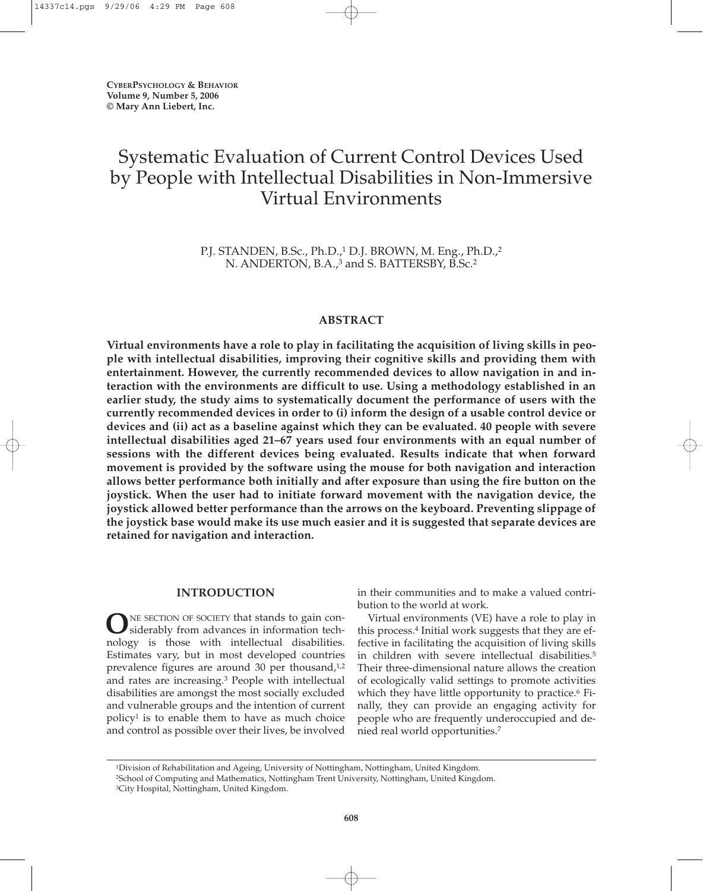# Systematic Evaluation of Current Control Devices Used by People with Intellectual Disabilities in Non-Immersive Virtual Environments

P.J. STANDEN, B.Sc., Ph.D.,1 D.J. BROWN, M. Eng., Ph.D.,2 N. ANDERTON, B.A.,<sup>3</sup> and S. BATTERSBY, B.Sc.<sup>2</sup>

# **ABSTRACT**

**Virtual environments have a role to play in facilitating the acquisition of living skills in people with intellectual disabilities, improving their cognitive skills and providing them with entertainment. However, the currently recommended devices to allow navigation in and interaction with the environments are difficult to use. Using a methodology established in an earlier study, the study aims to systematically document the performance of users with the currently recommended devices in order to (i) inform the design of a usable control device or devices and (ii) act as a baseline against which they can be evaluated. 40 people with severe intellectual disabilities aged 21–67 years used four environments with an equal number of sessions with the different devices being evaluated. Results indicate that when forward movement is provided by the software using the mouse for both navigation and interaction allows better performance both initially and after exposure than using the fire button on the joystick. When the user had to initiate forward movement with the navigation device, the joystick allowed better performance than the arrows on the keyboard. Preventing slippage of the joystick base would make its use much easier and it is suggested that separate devices are retained for navigation and interaction.**

## **INTRODUCTION**

**O**NE SECTION OF SOCIETY that stands to gain con-<br>siderably from advances in information technology is those with intellectual disabilities. Estimates vary, but in most developed countries prevalence figures are around 30 per thousand,<sup>1,2</sup> and rates are increasing.3 People with intellectual disabilities are amongst the most socially excluded and vulnerable groups and the intention of current  $policy<sup>1</sup>$  is to enable them to have as much choice and control as possible over their lives, be involved

in their communities and to make a valued contribution to the world at work.

Virtual environments (VE) have a role to play in this process.4 Initial work suggests that they are effective in facilitating the acquisition of living skills in children with severe intellectual disabilities.5 Their three-dimensional nature allows the creation of ecologically valid settings to promote activities which they have little opportunity to practice.<sup>6</sup> Finally, they can provide an engaging activity for people who are frequently underoccupied and denied real world opportunities.7

<sup>1</sup>Division of Rehabilitation and Ageing, University of Nottingham, Nottingham, United Kingdom.

<sup>2</sup>School of Computing and Mathematics, Nottingham Trent University, Nottingham, United Kingdom.

<sup>3</sup>City Hospital, Nottingham, United Kingdom.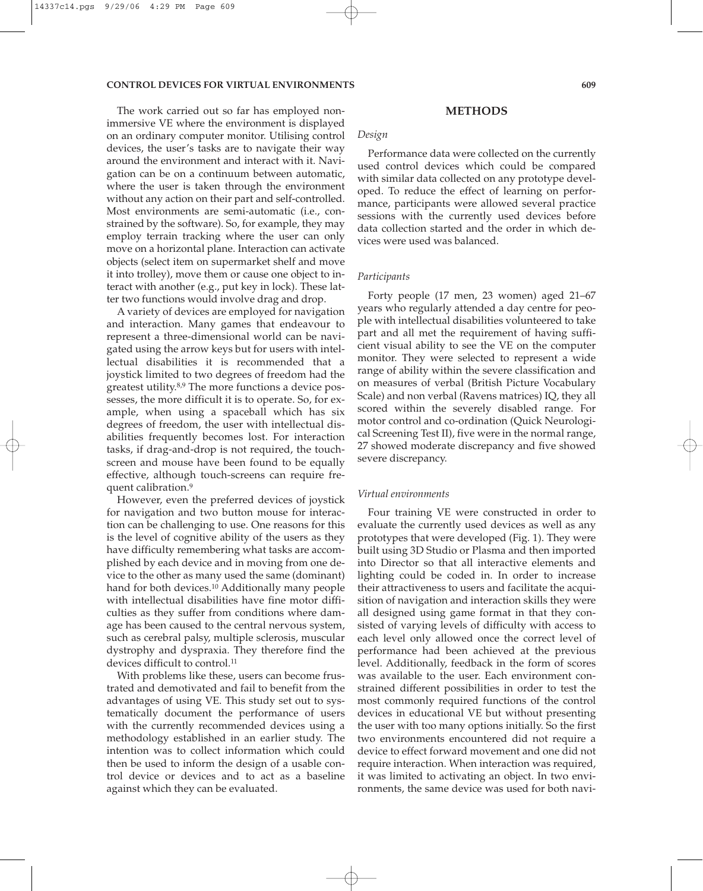### **CONTROL DEVICES FOR VIRTUAL ENVIRONMENTS 609**

The work carried out so far has employed nonimmersive VE where the environment is displayed on an ordinary computer monitor. Utilising control devices, the user's tasks are to navigate their way around the environment and interact with it. Navigation can be on a continuum between automatic, where the user is taken through the environment without any action on their part and self-controlled. Most environments are semi-automatic (i.e., constrained by the software). So, for example, they may employ terrain tracking where the user can only move on a horizontal plane. Interaction can activate objects (select item on supermarket shelf and move it into trolley), move them or cause one object to interact with another (e.g., put key in lock). These latter two functions would involve drag and drop.

A variety of devices are employed for navigation and interaction. Many games that endeavour to represent a three-dimensional world can be navigated using the arrow keys but for users with intellectual disabilities it is recommended that a joystick limited to two degrees of freedom had the greatest utility.8,9 The more functions a device possesses, the more difficult it is to operate. So, for example, when using a spaceball which has six degrees of freedom, the user with intellectual disabilities frequently becomes lost. For interaction tasks, if drag-and-drop is not required, the touchscreen and mouse have been found to be equally effective, although touch-screens can require frequent calibration.9

However, even the preferred devices of joystick for navigation and two button mouse for interaction can be challenging to use. One reasons for this is the level of cognitive ability of the users as they have difficulty remembering what tasks are accomplished by each device and in moving from one device to the other as many used the same (dominant) hand for both devices.10 Additionally many people with intellectual disabilities have fine motor difficulties as they suffer from conditions where damage has been caused to the central nervous system, such as cerebral palsy, multiple sclerosis, muscular dystrophy and dyspraxia. They therefore find the devices difficult to control.<sup>11</sup>

With problems like these, users can become frustrated and demotivated and fail to benefit from the advantages of using VE. This study set out to systematically document the performance of users with the currently recommended devices using a methodology established in an earlier study. The intention was to collect information which could then be used to inform the design of a usable control device or devices and to act as a baseline against which they can be evaluated.

#### **METHODS**

#### *Design*

Performance data were collected on the currently used control devices which could be compared with similar data collected on any prototype developed. To reduce the effect of learning on performance, participants were allowed several practice sessions with the currently used devices before data collection started and the order in which devices were used was balanced.

#### *Participants*

Forty people (17 men, 23 women) aged 21–67 years who regularly attended a day centre for people with intellectual disabilities volunteered to take part and all met the requirement of having sufficient visual ability to see the VE on the computer monitor. They were selected to represent a wide range of ability within the severe classification and on measures of verbal (British Picture Vocabulary Scale) and non verbal (Ravens matrices) IQ, they all scored within the severely disabled range. For motor control and co-ordination (Quick Neurological Screening Test II), five were in the normal range, 27 showed moderate discrepancy and five showed severe discrepancy.

#### *Virtual environments*

Four training VE were constructed in order to evaluate the currently used devices as well as any prototypes that were developed (Fig. 1). They were built using 3D Studio or Plasma and then imported into Director so that all interactive elements and lighting could be coded in. In order to increase their attractiveness to users and facilitate the acquisition of navigation and interaction skills they were all designed using game format in that they consisted of varying levels of difficulty with access to each level only allowed once the correct level of performance had been achieved at the previous level. Additionally, feedback in the form of scores was available to the user. Each environment constrained different possibilities in order to test the most commonly required functions of the control devices in educational VE but without presenting the user with too many options initially. So the first two environments encountered did not require a device to effect forward movement and one did not require interaction. When interaction was required, it was limited to activating an object. In two environments, the same device was used for both navi-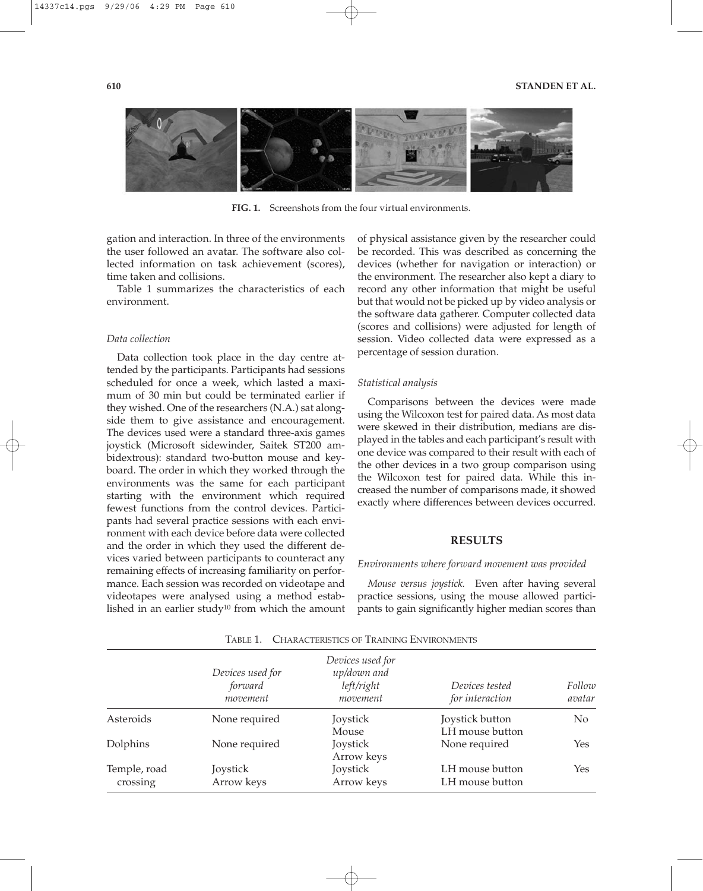

**FIG. 1.** Screenshots from the four virtual environments.

gation and interaction. In three of the environments the user followed an avatar. The software also collected information on task achievement (scores), time taken and collisions.

Table 1 summarizes the characteristics of each environment.

#### *Data collection*

Data collection took place in the day centre attended by the participants. Participants had sessions scheduled for once a week, which lasted a maximum of 30 min but could be terminated earlier if they wished. One of the researchers (N.A.) sat alongside them to give assistance and encouragement. The devices used were a standard three-axis games joystick (Microsoft sidewinder, Saitek ST200 ambidextrous): standard two-button mouse and keyboard. The order in which they worked through the environments was the same for each participant starting with the environment which required fewest functions from the control devices. Participants had several practice sessions with each environment with each device before data were collected and the order in which they used the different devices varied between participants to counteract any remaining effects of increasing familiarity on performance. Each session was recorded on videotape and videotapes were analysed using a method established in an earlier study10 from which the amount of physical assistance given by the researcher could be recorded. This was described as concerning the devices (whether for navigation or interaction) or the environment. The researcher also kept a diary to record any other information that might be useful but that would not be picked up by video analysis or the software data gatherer. Computer collected data (scores and collisions) were adjusted for length of session. Video collected data were expressed as a percentage of session duration.

## *Statistical analysis*

Comparisons between the devices were made using the Wilcoxon test for paired data. As most data were skewed in their distribution, medians are displayed in the tables and each participant's result with one device was compared to their result with each of the other devices in a two group comparison using the Wilcoxon test for paired data. While this increased the number of comparisons made, it showed exactly where differences between devices occurred.

#### **RESULTS**

#### *Environments where forward movement was provided*

*Mouse versus joystick.* Even after having several practice sessions, using the mouse allowed participants to gain significantly higher median scores than

|                          | Devices used for<br>forward<br>movement | Devices used for<br>up/down and<br>left/right<br>movement | Devices tested<br>for interaction  | Follow<br>avatar |  |
|--------------------------|-----------------------------------------|-----------------------------------------------------------|------------------------------------|------------------|--|
| Asteroids                | None required                           | Joystick<br>Mouse                                         | Joystick button<br>LH mouse button | No               |  |
| Dolphins                 | None required                           | Joystick<br>Arrow keys                                    | None required                      | Yes              |  |
| Temple, road<br>crossing | Joystick<br>Arrow keys                  | Joystick<br>Arrow keys                                    | LH mouse button<br>LH mouse button | Yes              |  |

TABLE 1. CHARACTERISTICS OF TRAINING ENVIRONMENTS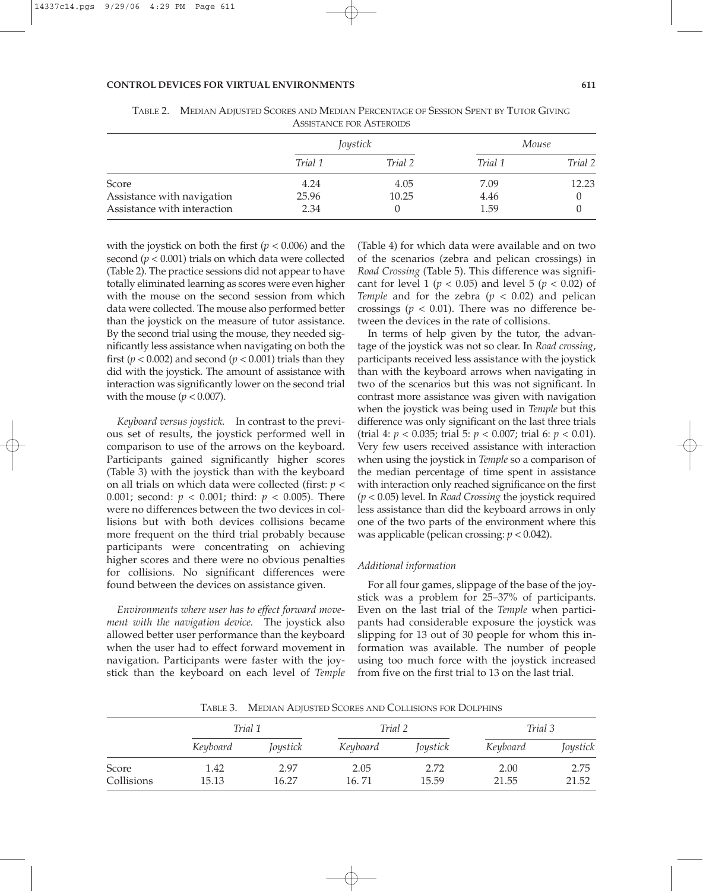|                             | Joystick |         | Mouse   |         |
|-----------------------------|----------|---------|---------|---------|
|                             | Trial 1  | Trial 2 | Trial 1 | Trial 2 |
| Score                       | 4.24     | 4.05    | 7.09    | 12.23   |
| Assistance with navigation  | 25.96    | 10.25   | 4.46    |         |
| Assistance with interaction | 2.34     |         | 1.59    |         |

TABLE 2. MEDIAN ADJUSTED SCORES AND MEDIAN PERCENTAGE OF SESSION SPENT BY TUTOR GIVING ASSISTANCE FOR ASTEROIDS

with the joystick on both the first (*p* < 0.006) and the second (*p* < 0.001) trials on which data were collected (Table 2). The practice sessions did not appear to have totally eliminated learning as scores were even higher with the mouse on the second session from which data were collected. The mouse also performed better than the joystick on the measure of tutor assistance. By the second trial using the mouse, they needed significantly less assistance when navigating on both the first ( $p < 0.002$ ) and second ( $p < 0.001$ ) trials than they did with the joystick. The amount of assistance with interaction was significantly lower on the second trial with the mouse  $(p < 0.007)$ .

*Keyboard versus joystick.* In contrast to the previous set of results, the joystick performed well in comparison to use of the arrows on the keyboard. Participants gained significantly higher scores (Table 3) with the joystick than with the keyboard on all trials on which data were collected (first: *p* < 0.001; second: *p* < 0.001; third: *p* < 0.005). There were no differences between the two devices in collisions but with both devices collisions became more frequent on the third trial probably because participants were concentrating on achieving higher scores and there were no obvious penalties for collisions. No significant differences were found between the devices on assistance given.

*Environments where user has to effect forward movement with the navigation device.* The joystick also allowed better user performance than the keyboard when the user had to effect forward movement in navigation. Participants were faster with the joystick than the keyboard on each level of *Temple* (Table 4) for which data were available and on two of the scenarios (zebra and pelican crossings) in *Road Crossing* (Table 5). This difference was significant for level 1 ( $p < 0.05$ ) and level 5 ( $p < 0.02$ ) of *Temple* and for the zebra  $(p < 0.02)$  and pelican crossings ( $p < 0.01$ ). There was no difference between the devices in the rate of collisions.

In terms of help given by the tutor, the advantage of the joystick was not so clear. In *Road crossing*, participants received less assistance with the joystick than with the keyboard arrows when navigating in two of the scenarios but this was not significant. In contrast more assistance was given with navigation when the joystick was being used in *Temple* but this difference was only significant on the last three trials (trial 4: *p* < 0.035; trial 5: *p* < 0.007; trial 6: *p* < 0.01). Very few users received assistance with interaction when using the joystick in *Temple* so a comparison of the median percentage of time spent in assistance with interaction only reached significance on the first (*p* < 0.05) level. In *Road Crossing* the joystick required less assistance than did the keyboard arrows in only one of the two parts of the environment where this was applicable (pelican crossing: *p* < 0.042).

#### *Additional information*

For all four games, slippage of the base of the joystick was a problem for 25–37% of participants. Even on the last trial of the *Temple* when participants had considerable exposure the joystick was slipping for 13 out of 30 people for whom this information was available. The number of people using too much force with the joystick increased from five on the first trial to 13 on the last trial.

TABLE 3. MEDIAN ADJUSTED SCORES AND COLLISIONS FOR DOLPHINS

|            | Trial 1  |          | Trial 2  |          | Trial 3  |          |
|------------|----------|----------|----------|----------|----------|----------|
|            | Keyboard | Joystick | Keyboard | Joystick | Keyboard | Joystick |
| Score      | 1.42     | 2.97     | 2.05     | 2.72     | 2.00     | 2.75     |
| Collisions | 15.13    | 16.27    | 16.71    | 15.59    | 21.55    | 21.52    |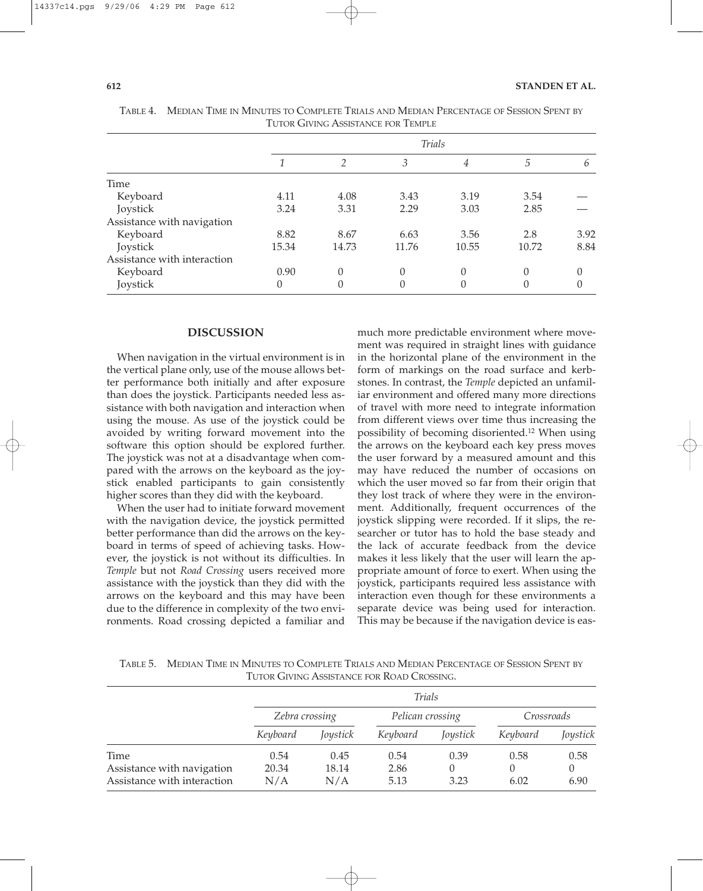|                             | <b>Trials</b> |                |          |          |       |          |
|-----------------------------|---------------|----------------|----------|----------|-------|----------|
|                             |               | $\overline{2}$ | 3        | 4        | 5     | 6        |
| Time                        |               |                |          |          |       |          |
| Keyboard                    | 4.11          | 4.08           | 3.43     | 3.19     | 3.54  |          |
| Joystick                    | 3.24          | 3.31           | 2.29     | 3.03     | 2.85  |          |
| Assistance with navigation  |               |                |          |          |       |          |
| Keyboard                    | 8.82          | 8.67           | 6.63     | 3.56     | 2.8   | 3.92     |
| Joystick                    | 15.34         | 14.73          | 11.76    | 10.55    | 10.72 | 8.84     |
| Assistance with interaction |               |                |          |          |       |          |
| Keyboard                    | 0.90          | $\Omega$       | $\Omega$ | $\theta$ | 0     | $\Omega$ |
| Joystick                    | 0             | 0              | $\Omega$ | $\theta$ | 0     | $\Omega$ |

TABLE 4. MEDIAN TIME IN MINUTES TO COMPLETE TRIALS AND MEDIAN PERCENTAGE OF SESSION SPENT BY TUTOR GIVING ASSISTANCE FOR TEMPLE

## **DISCUSSION**

When navigation in the virtual environment is in the vertical plane only, use of the mouse allows better performance both initially and after exposure than does the joystick. Participants needed less assistance with both navigation and interaction when using the mouse. As use of the joystick could be avoided by writing forward movement into the software this option should be explored further. The joystick was not at a disadvantage when compared with the arrows on the keyboard as the joystick enabled participants to gain consistently higher scores than they did with the keyboard.

When the user had to initiate forward movement with the navigation device, the joystick permitted better performance than did the arrows on the keyboard in terms of speed of achieving tasks. However, the joystick is not without its difficulties. In *Temple* but not *Road Crossing* users received more assistance with the joystick than they did with the arrows on the keyboard and this may have been due to the difference in complexity of the two environments. Road crossing depicted a familiar and

much more predictable environment where movement was required in straight lines with guidance in the horizontal plane of the environment in the form of markings on the road surface and kerbstones. In contrast, the *Temple* depicted an unfamiliar environment and offered many more directions of travel with more need to integrate information from different views over time thus increasing the possibility of becoming disoriented.12 When using the arrows on the keyboard each key press moves the user forward by a measured amount and this may have reduced the number of occasions on which the user moved so far from their origin that they lost track of where they were in the environment. Additionally, frequent occurrences of the joystick slipping were recorded. If it slips, the researcher or tutor has to hold the base steady and the lack of accurate feedback from the device makes it less likely that the user will learn the appropriate amount of force to exert. When using the joystick, participants required less assistance with interaction even though for these environments a separate device was being used for interaction. This may be because if the navigation device is eas-

TABLE 5. MEDIAN TIME IN MINUTES TO COMPLETE TRIALS AND MEDIAN PERCENTAGE OF SESSION SPENT BY TUTOR GIVING ASSISTANCE FOR ROAD CROSSING.

|                                                           | <b>Trials</b>  |              |                  |          |            |           |  |
|-----------------------------------------------------------|----------------|--------------|------------------|----------|------------|-----------|--|
|                                                           | Zebra crossing |              | Pelican crossing |          | Crossroads |           |  |
|                                                           | Keyboard       | Joystick     | Keyboard         | Joystick | Keyboard   | Joystick  |  |
| Time                                                      | 0.54           | 0.45         | 0.54             | 0.39     | 0.58       | 0.58      |  |
| Assistance with navigation<br>Assistance with interaction | 20.34<br>N/A   | 18.14<br>N/A | 2.86<br>5.13     | 3.23     | 6.02       | 0<br>6.90 |  |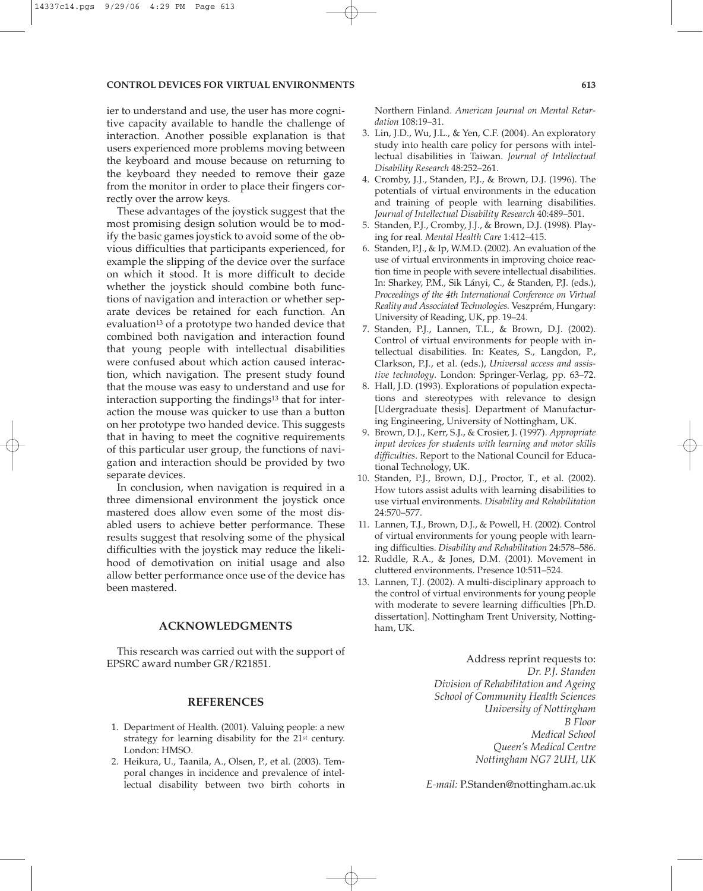ier to understand and use, the user has more cognitive capacity available to handle the challenge of interaction. Another possible explanation is that users experienced more problems moving between the keyboard and mouse because on returning to the keyboard they needed to remove their gaze from the monitor in order to place their fingers correctly over the arrow keys.

These advantages of the joystick suggest that the most promising design solution would be to modify the basic games joystick to avoid some of the obvious difficulties that participants experienced, for example the slipping of the device over the surface on which it stood. It is more difficult to decide whether the joystick should combine both functions of navigation and interaction or whether separate devices be retained for each function. An evaluation<sup>13</sup> of a prototype two handed device that combined both navigation and interaction found that young people with intellectual disabilities were confused about which action caused interaction, which navigation. The present study found that the mouse was easy to understand and use for interaction supporting the findings13 that for interaction the mouse was quicker to use than a button on her prototype two handed device. This suggests that in having to meet the cognitive requirements of this particular user group, the functions of navigation and interaction should be provided by two separate devices.

In conclusion, when navigation is required in a three dimensional environment the joystick once mastered does allow even some of the most disabled users to achieve better performance. These results suggest that resolving some of the physical difficulties with the joystick may reduce the likelihood of demotivation on initial usage and also allow better performance once use of the device has been mastered.

# **ACKNOWLEDGMENTS**

This research was carried out with the support of EPSRC award number GR/R21851.

## **REFERENCES**

- 1. Department of Health. (2001). Valuing people: a new strategy for learning disability for the 21st century. London: HMSO.
- 2. Heikura, U., Taanila, A., Olsen, P., et al. (2003). Temporal changes in incidence and prevalence of intellectual disability between two birth cohorts in

Northern Finland. *American Journal on Mental Retardation* 108:19–31.

- 3. Lin, J.D., Wu, J.L., & Yen, C.F. (2004). An exploratory study into health care policy for persons with intellectual disabilities in Taiwan. *Journal of Intellectual Disability Research* 48:252–261.
- 4. Cromby, J.J., Standen, P.J., & Brown, D.J. (1996). The potentials of virtual environments in the education and training of people with learning disabilities. *Journal of Intellectual Disability Research* 40:489–501.
- 5. Standen, P.J., Cromby, J.J., & Brown, D.J. (1998). Playing for real. *Mental Health Care* 1:412–415.
- 6. Standen, P.J., & Ip, W.M.D. (2002). An evaluation of the use of virtual environments in improving choice reaction time in people with severe intellectual disabilities. In: Sharkey, P.M., Sik Lányi, C., & Standen, P.J. (eds.), *Proceedings of the 4th International Conference on Virtual Reality and Associated Technologies.* Veszprém, Hungary: University of Reading, UK, pp. 19–24.
- 7. Standen, P.J., Lannen, T.L., & Brown, D.J. (2002). Control of virtual environments for people with intellectual disabilities. In: Keates, S., Langdon, P., Clarkson, P.J., et al. (eds.), *Universal access and assistive technology*. London: Springer-Verlag, pp. 63–72.
- 8. Hall, J.D. (1993). Explorations of population expectations and stereotypes with relevance to design [Udergraduate thesis]. Department of Manufacturing Engineering, University of Nottingham, UK.
- 9. Brown, D.J., Kerr, S.J., & Crosier, J. (1997). *Appropriate input devices for students with learning and motor skills difficulties*. Report to the National Council for Educational Technology, UK.
- 10. Standen, P.J., Brown, D.J., Proctor, T., et al. (2002). How tutors assist adults with learning disabilities to use virtual environments. *Disability and Rehabilitation* 24:570–577.
- 11. Lannen, T.J., Brown, D.J., & Powell, H. (2002). Control of virtual environments for young people with learning difficulties. *Disability and Rehabilitation* 24:578–586.
- 12. Ruddle, R.A., & Jones, D.M. (2001). Movement in cluttered environments. Presence 10:511–524.
- 13. Lannen, T.J. (2002). A multi-disciplinary approach to the control of virtual environments for young people with moderate to severe learning difficulties [Ph.D. dissertation]. Nottingham Trent University, Nottingham, UK.

Address reprint requests to: *Dr. P.J. Standen Division of Rehabilitation and Ageing School of Community Health Sciences University of Nottingham B Floor Medical School Queen's Medical Centre Nottingham NG7 2UH, UK*

*E-mail:* P.Standen@nottingham.ac.uk